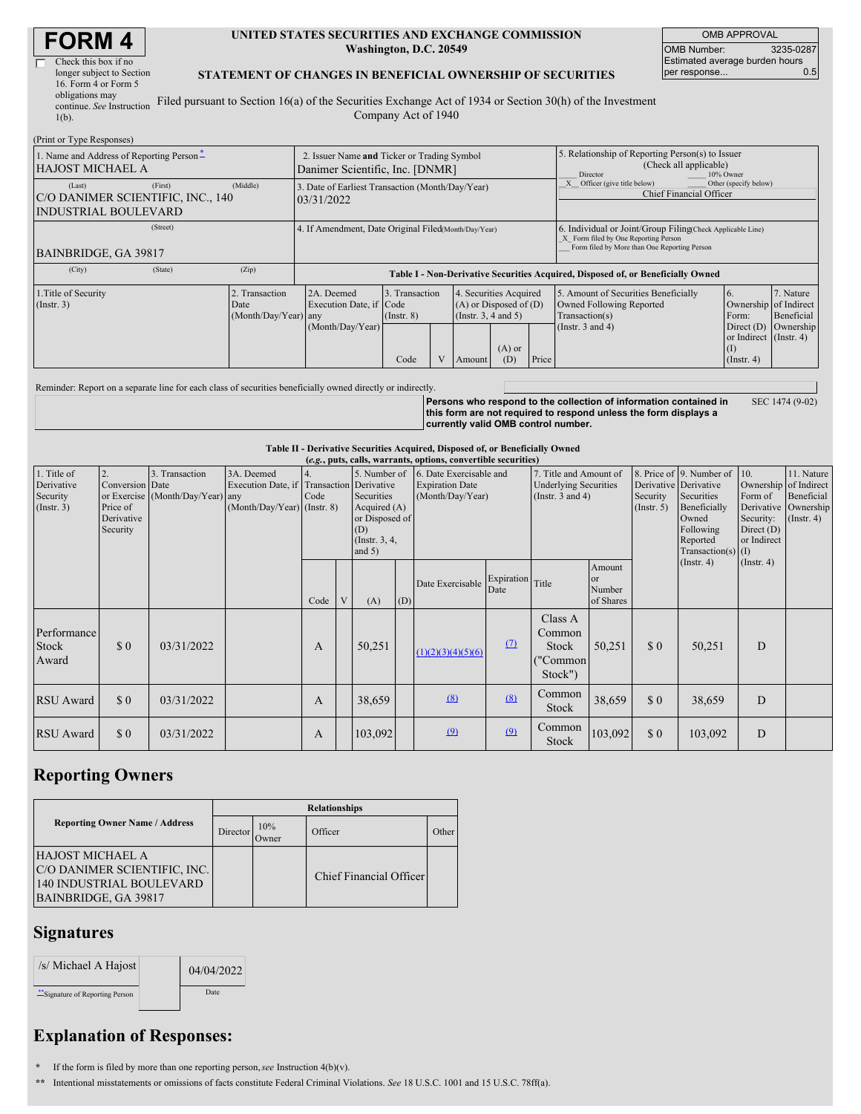| Check this box if no      |  |
|---------------------------|--|
| longer subject to Section |  |
| 16. Form 4 or Form 5      |  |
| obligations may           |  |
| continue. See Instruction |  |
| $1(b)$ .                  |  |
|                           |  |

#### **UNITED STATES SECURITIES AND EXCHANGE COMMISSION Washington, D.C. 20549**

OMB APPROVAL OMB Number: 3235-0287 Estimated average burden hours<br>per response... 0.5 per response...

#### **STATEMENT OF CHANGES IN BENEFICIAL OWNERSHIP OF SECURITIES**

Filed pursuant to Section 16(a) of the Securities Exchange Act of 1934 or Section 30(h) of the Investment Company Act of 1940

| (Print or Type Responses)                                                                  |         |                                                      |                                                                                  |                                   |  |                                                                                  |                 |                                                                                                                                                    |                                                                                    |                                                                             |                         |
|--------------------------------------------------------------------------------------------|---------|------------------------------------------------------|----------------------------------------------------------------------------------|-----------------------------------|--|----------------------------------------------------------------------------------|-----------------|----------------------------------------------------------------------------------------------------------------------------------------------------|------------------------------------------------------------------------------------|-----------------------------------------------------------------------------|-------------------------|
| 1. Name and Address of Reporting Person-<br><b>HAJOST MICHAEL A</b>                        |         |                                                      | 2. Issuer Name and Ticker or Trading Symbol<br>Danimer Scientific, Inc. [DNMR]   |                                   |  |                                                                                  |                 | 5. Relationship of Reporting Person(s) to Issuer<br>(Check all applicable)<br>Director<br>10% Owner                                                |                                                                                    |                                                                             |                         |
| (Last)<br>C/O DANIMER SCIENTIFIC, INC., 140<br><b>INDUSTRIAL BOULEVARD</b>                 | (First) | (Middle)                                             | 3. Date of Earliest Transaction (Month/Day/Year)<br>03/31/2022                   |                                   |  |                                                                                  |                 | Officer (give title below)<br>Chief Financial Officer                                                                                              | Other (specify below)                                                              |                                                                             |                         |
| (Street)<br>BAINBRIDGE, GA 39817                                                           |         | 4. If Amendment, Date Original Filed(Month/Day/Year) |                                                                                  |                                   |  |                                                                                  |                 | 6. Individual or Joint/Group Filing(Check Applicable Line)<br>X Form filed by One Reporting Person<br>Form filed by More than One Reporting Person |                                                                                    |                                                                             |                         |
| (City)                                                                                     | (State) | (Zip)                                                | Table I - Non-Derivative Securities Acquired, Disposed of, or Beneficially Owned |                                   |  |                                                                                  |                 |                                                                                                                                                    |                                                                                    |                                                                             |                         |
| 2. Transaction<br>1. Title of Security<br>$($ Instr. 3 $)$<br>Date<br>(Month/Day/Year) any |         |                                                      | 2A. Deemed<br>Execution Date, if Code                                            | 3. Transaction<br>$($ Instr. $8)$ |  | 4. Securities Acquired<br>$(A)$ or Disposed of $(D)$<br>(Instr. $3, 4$ and $5$ ) |                 |                                                                                                                                                    | 5. Amount of Securities Beneficially<br>Owned Following Reported<br>Transaction(s) | 6.<br>Ownership of Indirect<br>Form:                                        | 7. Nature<br>Beneficial |
|                                                                                            |         |                                                      | (Month/Day/Year)                                                                 | Code                              |  | Amount                                                                           | $(A)$ or<br>(D) | Price                                                                                                                                              | (Instr. $3$ and $4$ )                                                              | Direct $(D)$ Ownership<br>or Indirect (Instr. 4)<br>(I)<br>$($ Instr. 4 $)$ |                         |

Reminder: Report on a separate line for each class of securities beneficially owned directly or indirectly.

**Persons who respond to the collection of information contained in this form are not required to respond unless the form displays a currently valid OMB control number.** SEC 1474 (9-02)

**Table II - Derivative Securities Acquired, Disposed of, or Beneficially Owned**

| (e.g., puts, calls, warrants, options, convertible securities) |                                                       |                                                    |                                                                                        |      |   |                                                                                                    |     |                                                                       |                          |                                                                                 |                                     |                                                       |                                                                                                                  |                                                                                                             |                                              |
|----------------------------------------------------------------|-------------------------------------------------------|----------------------------------------------------|----------------------------------------------------------------------------------------|------|---|----------------------------------------------------------------------------------------------------|-----|-----------------------------------------------------------------------|--------------------------|---------------------------------------------------------------------------------|-------------------------------------|-------------------------------------------------------|------------------------------------------------------------------------------------------------------------------|-------------------------------------------------------------------------------------------------------------|----------------------------------------------|
| 1. Title of<br>Derivative<br>Security<br>$($ Instr. 3 $)$      | Conversion Date<br>Price of<br>Derivative<br>Security | 3. Transaction<br>or Exercise (Month/Day/Year) any | 3A. Deemed<br>Execution Date, if Transaction Derivative<br>(Month/Day/Year) (Instr. 8) | Code |   | 5. Number of<br>Securities<br>Acquired (A)<br>or Disposed of<br>(D)<br>(Instr. $3, 4,$<br>and $5)$ |     | 6. Date Exercisable and<br><b>Expiration Date</b><br>(Month/Day/Year) |                          | 7. Title and Amount of<br><b>Underlying Securities</b><br>(Instr. $3$ and $4$ ) |                                     | Derivative Derivative<br>Security<br>$($ Instr. 5 $)$ | 8. Price of 9. Number of<br>Securities<br>Beneficially<br>Owned<br>Following<br>Reported<br>Transaction(s) $(I)$ | 10.<br>Ownership of Indirect<br>Form of<br>Derivative Ownership<br>Security:<br>Direct $(D)$<br>or Indirect | 11. Nature<br>Beneficial<br>$($ Instr. 4 $)$ |
|                                                                |                                                       |                                                    |                                                                                        | Code | V | (A)                                                                                                | (D) | Date Exercisable                                                      | Expiration Title<br>Date |                                                                                 | Amount<br>or<br>Number<br>of Shares |                                                       | $($ Instr. 4 $)$                                                                                                 | $($ Instr. 4 $)$                                                                                            |                                              |
| Performance<br>Stock<br>Award                                  | \$0                                                   | 03/31/2022                                         |                                                                                        | A    |   | 50,251                                                                                             |     | (1)(2)(3)(4)(5)(6)                                                    | $\Omega$                 | Class A<br>Common<br>Stock<br>("Common <br>Stock")                              | 50,251                              | \$0                                                   | 50,251                                                                                                           | D                                                                                                           |                                              |
| <b>RSU</b> Award                                               | \$0                                                   | 03/31/2022                                         |                                                                                        | A    |   | 38,659                                                                                             |     | (8)                                                                   | (8)                      | Common<br><b>Stock</b>                                                          | 38,659                              | \$0                                                   | 38,659                                                                                                           | D                                                                                                           |                                              |
| RSU Award                                                      | \$0                                                   | 03/31/2022                                         |                                                                                        | A    |   | 103,092                                                                                            |     | $\Omega$                                                              | (9)                      | Common<br><b>Stock</b>                                                          | 103,092                             | $\sqrt{3}0$                                           | 103,092                                                                                                          | D                                                                                                           |                                              |

# **Reporting Owners**

|                                                                                                                    | <b>Relationships</b> |              |                         |         |  |  |  |  |  |
|--------------------------------------------------------------------------------------------------------------------|----------------------|--------------|-------------------------|---------|--|--|--|--|--|
| <b>Reporting Owner Name / Address</b>                                                                              | Director             | 10%<br>Owner | Officer                 | : Other |  |  |  |  |  |
| <b>HAJOST MICHAEL A</b><br>C/O DANIMER SCIENTIFIC, INC.<br><b>140 INDUSTRIAL BOULEVARD</b><br>BAINBRIDGE, GA 39817 |                      |              | Chief Financial Officer |         |  |  |  |  |  |

### **Signatures**

| /s/ Michael A Hajost             | 04/04/2022 |
|----------------------------------|------------|
| ** Signature of Reporting Person | Date:      |

# **Explanation of Responses:**

- **\*** If the form is filed by more than one reporting person,*see* Instruction 4(b)(v).
- **\*\*** Intentional misstatements or omissions of facts constitute Federal Criminal Violations. *See* 18 U.S.C. 1001 and 15 U.S.C. 78ff(a).